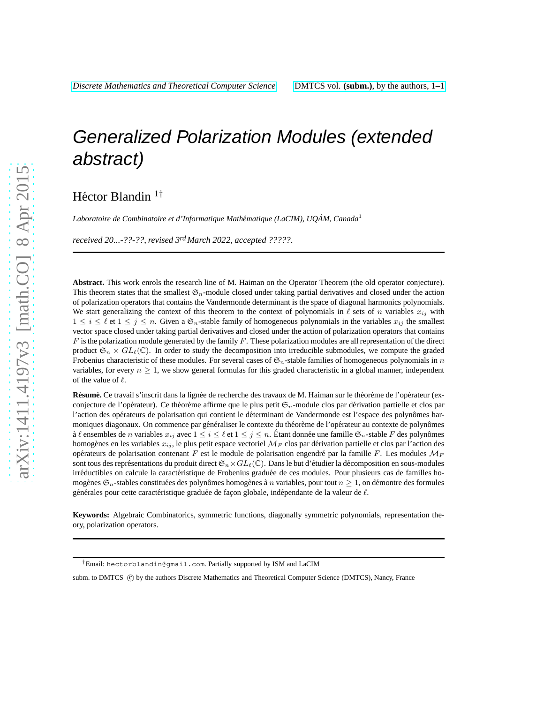# Generalized Polarization Modules (extended abstract)

Héctor Blandin <sup>1†</sup>

*Laboratoire de Combinatoire et d'Informatique Math´ematique (LaCIM), UQAM, Canada `* <sup>1</sup>

*received 20...-??-??*, *revised 3rd March 2022*, *accepted ?????*.

**Abstract.** This work enrols the research line of M. Haiman on the Operator Theorem (the old operator conjecture). This theorem states that the smallest  $\mathfrak{S}_n$ -module closed under taking partial derivatives and closed under the action of polarization operators that contains the Vandermonde determinant is the space of diagonal harmonics polynomials. We start generalizing the context of this theorem to the context of polynomials in  $\ell$  sets of n variables  $x_{ij}$  with  $1 \leq i \leq \ell$  et  $1 \leq j \leq n$ . Given a  $\mathfrak{S}_n$ -stable family of homogeneous polynomials in the variables  $x_{ij}$  the smallest vector space closed under taking partial derivatives and closed under the action of polarization operators that contains  $F$  is the polarization module generated by the family  $F$ . These polarization modules are all representation of the direct product  $\mathfrak{S}_n \times GL_\ell(\mathbb{C})$ . In order to study the decomposition into irreducible submodules, we compute the graded Frobenius characteristic of these modules. For several cases of  $\mathfrak{S}_n$ -stable families of homogeneous polynomials in n variables, for every  $n \geq 1$ , we show general formulas for this graded characteristic in a global manner, independent of the value of  $\ell$ .

Résumé. Ce travail s'inscrit dans la lignée de recherche des travaux de M. Haiman sur le théorème de l'opérateur (exconjecture de l'opérateur). Ce théorème affirme que le plus petit  $\mathfrak{S}_n$ -module clos par dérivation partielle et clos par l'action des opérateurs de polarisation qui contient le déterminant de Vandermonde est l'espace des polynômes harmoniques diagonaux. On commence par généraliser le contexte du théorème de l'opérateur au contexte de polynômes à  $\ell$  ensembles de n variables  $x_{ij}$  avec  $1 \le i \le \ell$  et  $1 \le j \le n$ . Étant donnée une famille  $\mathfrak{S}_n$ -stable F des polynômes homogènes en les variables  $x_{ij}$ , le plus petit espace vectoriel  $\mathcal{M}_F$  clos par dérivation partielle et clos par l'action des opérateurs de polarisation contenant F est le module de polarisation engendré par la famille F. Les modules  $\mathcal{M}_F$ sont tous des représentations du produit direct  $\mathfrak{S}_n \times GL_\ell(\mathbb{C})$ . Dans le but d'étudier la décomposition en sous-modules irréductibles on calcule la caractéristique de Frobenius graduée de ces modules. Pour plusieurs cas de familles homogènes  $\mathfrak{S}_n$ -stables constituées des polynômes homogènes à n variables, pour tout  $n \geq 1$ , on démontre des formules générales pour cette caractéristique graduée de façon globale, indépendante de la valeur de  $\ell$ .

**Keywords:** Algebraic Combinatorics, symmetric functions, diagonally symmetric polynomials, representation theory, polarization operators.

<sup>†</sup>Email: hectorblandin@gmail.com. Partially supported by ISM and LaCIM

subm. to DMTCS (C) by the authors Discrete Mathematics and Theoretical Computer Science (DMTCS), Nancy, France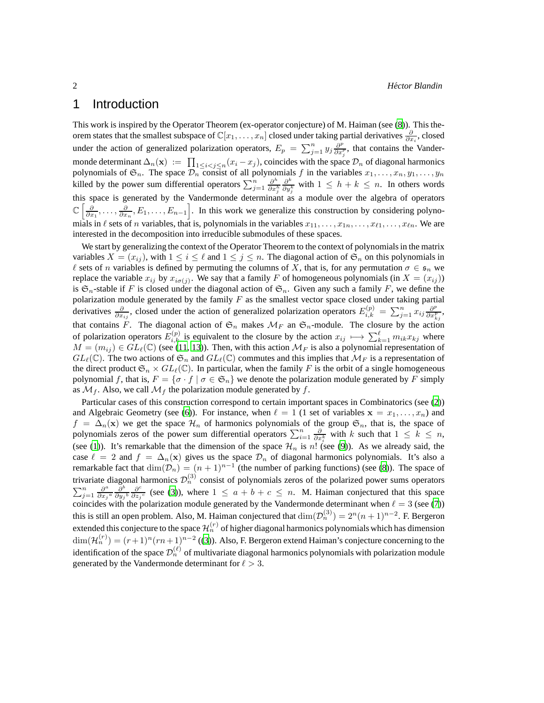## 1 Introduction

This work is inspired by the Operator Theorem (ex-operator conjecture) of M. Haiman (see [\(8\)](#page-11-0)). This theorem states that the smallest subspace of  $\mathbb{C}[x_1,\ldots,x_n]$  closed under taking partial derivatives  $\frac{\partial}{\partial x_i}$ , closed under the action of generalized polarization operators,  $E_p = \sum_{j=1}^n y_j \frac{\partial^p}{\partial x_j^p}$ , that contains the Vandermonde determinant  $\Delta_n(\mathbf{x}) := \prod_{1 \leq i < j \leq n} (x_i - x_j)$ , coincides with the space  $\mathcal{D}_n$  of diagonal harmonics polynomials of  $\mathfrak{S}_n$ . The space  $\mathcal{D}_n$  consist of all polynomials f in the variables  $x_1, \ldots, x_n, y_1, \ldots, y_n$ killed by the power sum differential operators  $\sum_{j=1}^{n} \frac{\partial^{h}}{\partial x^{j}}$  $\partial x_j^h$  $\partial^k$  $\frac{\partial^{n}}{\partial y_{j}^{k}}$  with  $1 \leq h + k \leq n$ . In others words this space is generated by the Vandermonde determinant as a module over the algebra of operators  $\mathbb{C}\left[\frac{\partial}{\partial x_1},\ldots,\frac{\partial}{\partial x_n},E_1,\ldots,E_{n-1}\right]$ . In this work we generalize this construction by considering polynomials in  $\ell$  sets of n variables, that is, polynomials in the variables  $x_{11}, \ldots, x_{1n}, \ldots, x_{\ell 1}, \ldots, x_{\ell n}$ . We are interested in the decomposition into irreducible submodules of these spaces.

We start by generalizing the context of the Operator Theorem to the context of polynomials in the matrix variables  $X = (x_{ij})$ , with  $1 \le i \le \ell$  and  $1 \le j \le n$ . The diagonal action of  $\mathfrak{S}_n$  on this polynomials in  $\ell$  sets of n variables is defined by permuting the columns of X, that is, for any permutation  $\sigma \in \mathfrak{s}_n$  we replace the variable  $x_{ij}$  by  $x_{i\sigma(j)}$ . We say that a family F of homogeneous polynomials (in  $X = (x_{ij})$ ) is  $\mathfrak{S}_n$ -stable if F is closed under the diagonal action of  $\mathfrak{S}_n$ . Given any such a family F, we define the polarization module generated by the family  $F$  as the smallest vector space closed under taking partial derivatives  $\frac{\partial}{\partial x_{ij}}$ , closed under the action of generalized polarization operators  $E_{i,k}^{(p)} = \sum_{j=1}^{n} x_{ij} \frac{\partial^p}{\partial x_{k,j}^p}$ , that contains F. The diagonal action of  $\mathfrak{S}_n$  makes  $\mathcal{M}_F$  an  $\mathfrak{S}_n$ -module. The closure by the action of polarization operators  $E_{i,k}^{(p)}$  is equivalent to the closure by the action  $x_{ij} \mapsto \sum_{k=1}^{\ell} m_{ik}x_{kj}$  where  $M = (m_{ij}) \in GL_{\ell}(\mathbb{C})$  (see [\(11,](#page-11-1) [13\)](#page-11-2)). Then, with this action  $\mathcal{M}_F$  is also a polynomial representation of  $GL_{\ell}(\mathbb{C})$ . The two actions of  $\mathfrak{S}_n$  and  $GL_{\ell}(\mathbb{C})$  commutes and this implies that  $\mathcal{M}_F$  is a representation of the direct product  $\mathfrak{S}_n \times GL_\ell(\mathbb{C})$ . In particular, when the family F is the orbit of a single homogeneous polynomial f, that is,  $F = \{\sigma \cdot f \mid \sigma \in \mathfrak{S}_n\}$  we denote the polarization module generated by F simply as  $\mathcal{M}_f$ . Also, we call  $\mathcal{M}_f$  the polarization module generated by f.

Particular cases of this construction correspond to certain important spaces in Combinatorics (see [\(2\)](#page-11-3)) and Algebraic Geometry (see [\(6\)](#page-11-4)). For instance, when  $\ell = 1$  (1 set of variables  $\mathbf{x} = x_1, \dots, x_n$ ) and  $f = \Delta_n(\mathbf{x})$  we get the space  $\mathcal{H}_n$  of harmonics polynomials of the group  $\mathfrak{S}_n$ , that is, the space of polynomials zeros of the power sum differential operators  $\sum_{i=1}^n \frac{\partial}{\partial x_i^k}$  with k such that  $1 \leq k \leq n$ , (see [\(1\)](#page-11-5)). It's remarkable that the dimension of the space  $\mathcal{H}_n$  is n! (see [\(9\)](#page-11-6)). As we already said, the case  $\ell = 2$  and  $f = \Delta_n(\mathbf{x})$  gives us the space  $\mathcal{D}_n$  of diagonal harmonics polynomials. It's also a remarkable fact that  $\dim(\mathcal{D}_n) = (n+1)^{n-1}$  (the number of parking functions) (see [\(8\)](#page-11-0)). The space of trivariate diagonal harmonics  $\mathcal{D}_n^{(3)}$  consist of polynomials zeros of the polarized power sums operators  $\sum_{j=1}^n \frac{\partial^a}{\partial x_j}$  $\frac{\partial^a}{\partial x_j{}^a} \frac{\partial^b}{\partial y_j}$  $\frac{\partial^b}{\partial {y_j}^b} \frac{\partial^c}{\partial {z_j}}$  $\frac{\partial^{\circ}}{\partial z_j^c}$  (see [\(3](#page-11-7))), where  $1 \leq a + b + c \leq n$ . M. Haiman conjectured that this space coincides with the polarization module generated by the Vandermonde determinant when  $\ell = 3$  (see [\(7\)](#page-11-8)) this is still an open problem. Also, M. Haiman conjectured that  $\dim(\mathcal{D}_n^{(3)}) = 2^n(n+1)^{n-2}$ . F. Bergeron extended this conjecture to the space  $\mathcal{H}^{(r)}_n$  of higher diagonal harmonics polynomials which has dimension  $\dim(\mathcal{H}_n^{(r)}) = (r+1)^n(rn+1)^{n-2}$  ([\(3\)](#page-11-7)). Also, F. Bergeron extend Haiman's conjecture concerning to the identification of the space  $\mathcal{D}_n^{(\ell)}$  of multivariate diagonal harmonics polynomials with polarization module generated by the Vandermonde determinant for  $\ell > 3$ .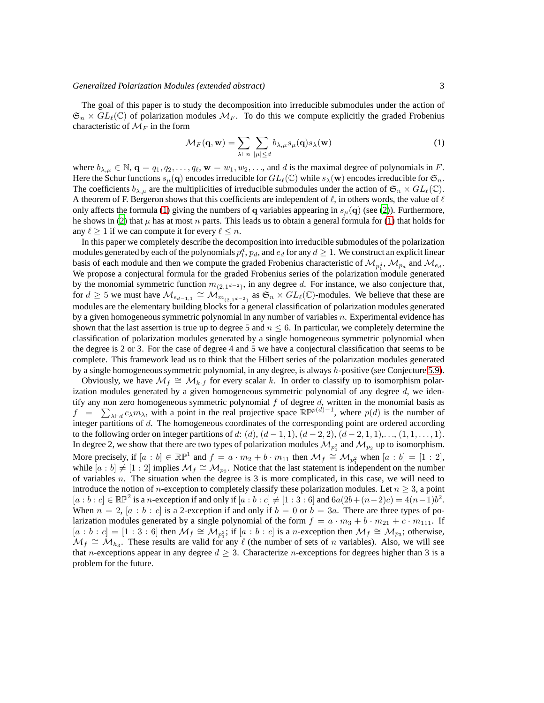The goal of this paper is to study the decomposition into irreducible submodules under the action of  $\mathfrak{S}_n \times GL_\ell(\mathbb{C})$  of polarization modules  $\mathcal{M}_F$ . To do this we compute explicitly the graded Frobenius characteristic of  $\mathcal{M}_F$  in the form

<span id="page-2-0"></span>
$$
\mathcal{M}_F(\mathbf{q}, \mathbf{w}) = \sum_{\lambda \vdash n} \sum_{|\mu| \le d} b_{\lambda, \mu} s_{\mu}(\mathbf{q}) s_{\lambda}(\mathbf{w}) \tag{1}
$$

where  $b_{\lambda,\mu} \in \mathbb{N}$ ,  $\mathbf{q} = q_1, q_2, \dots, q_\ell, \mathbf{w} = w_1, w_2, \dots$ , and d is the maximal degree of polynomials in F. Here the Schur functions  $s_\mu(\mathbf{q})$  encodes irreducible for  $GL_\ell(\mathbb{C})$  while  $s_\lambda(\mathbf{w})$  encodes irreducible for  $\mathfrak{S}_n$ . The coefficients  $b_{\lambda,\mu}$  are the multiplicities of irreducible submodules under the action of  $\mathfrak{S}_n \times GL_{\ell}(\mathbb{C})$ . A theorem of F. Bergeron shows that this coefficients are independent of  $\ell$ , in others words, the value of  $\ell$ only affects the formula [\(1\)](#page-2-0) giving the numbers of q variables appearing in  $s_\mu(\mathbf{q})$  (see [\(2\)](#page-11-3)). Furthermore, he shows in [\(2\)](#page-11-3) that  $\mu$  has at most n parts. This leads us to obtain a general formula for [\(1\)](#page-2-0) that holds for any  $\ell > 1$  if we can compute it for every  $\ell \leq n$ .

In this paper we completely describe the decomposition into irreducible submodules of the polarization modules generated by each of the polynomials  $p_1^d$ ,  $p_d$ , and  $e_d$  for any  $d\geq 1.$  We construct an explicit linear basis of each module and then we compute the graded Frobenius characteristic of  $\mathcal{M}_{p_1^d}$ ,  $\mathcal{M}_{p_d}$  and  $\mathcal{M}_{e_d}$ . We propose a conjectural formula for the graded Frobenius series of the polarization module generated by the monomial symmetric function  $m_{(2,1^{d-2})}$ , in any degree d. For instance, we also conjecture that, for  $d \geq 5$  we must have  $\mathcal{M}_{e_{d-1,1}} \cong \mathcal{M}_{m_{(2,1^{d-2})}}$  as  $\mathfrak{S}_n \times GL_{\ell}(\mathbb{C})$ -modules. We believe that these are modules are the elementary building blocks for a general classification of polarization modules generated by a given homogeneous symmetric polynomial in any number of variables n. Experimental evidence has shown that the last assertion is true up to degree 5 and  $n \leq 6$ . In particular, we completely determine the classification of polarization modules generated by a single homogeneous symmetric polynomial when the degree is 2 or 3. For the case of degree 4 and 5 we have a conjectural classification that seems to be complete. This framework lead us to think that the Hilbert series of the polarization modules generated by a single homogeneous symmetric polynomial, in any degree, is always h-positive (see Conjecture [5.9\)](#page-9-0).

Obviously, we have  $\mathcal{M}_f \cong \mathcal{M}_{k \cdot f}$  for every scalar k. In order to classify up to isomorphism polarization modules generated by a given homogeneous symmetric polynomial of any degree  $d$ , we identify any non zero homogeneous symmetric polynomial  $f$  of degree  $d$ , written in the monomial basis as  $f = \sum_{\lambda \vdash d} c_{\lambda} m_{\lambda}$ , with a point in the real projective space  $\mathbb{RP}^{p(d)-1}$ , where  $p(d)$  is the number of integer partitions of d. The homogeneous coordinates of the corresponding point are ordered according to the following order on integer partitions of d:  $(d)$ ,  $(d-1, 1)$ ,  $(d-2, 2)$ ,  $(d-2, 1, 1)$ ,...,  $(1, 1, \ldots, 1)$ . In degree 2, we show that there are two types of polarization modules  $\mathcal{M}_{p_1^2}$  and  $\mathcal{M}_{p_2}$  up to isomorphism. More precisely, if  $[a : b] \in \mathbb{RP}^1$  and  $f = a \cdot m_2 + b \cdot m_{11}$  then  $\mathcal{M}_f \cong \mathcal{M}_{p_1^2}$  when  $[a : b] = [1 : 2]$ , while  $[a:b] \neq [1:2]$  implies  $\mathcal{M}_f \cong \mathcal{M}_{p_2}$ . Notice that the last statement is independent on the number of variables  $n$ . The situation when the degree is  $3$  is more complicated, in this case, we will need to introduce the notion of n-exception to completely classify these polarization modules. Let  $n > 3$ , a point  $[a:b:c] \in \mathbb{RP}^2$  is a n-exception if and only if  $[a:b:c] \neq [1:3:6]$  and  $6a(2b+(n-2)c) = 4(n-1)b^2$ . When  $n = 2$ ,  $[a : b : c]$  is a 2-exception if and only if  $b = 0$  or  $b = 3a$ . There are three types of polarization modules generated by a single polynomial of the form  $f = a \cdot m_3 + b \cdot m_{21} + c \cdot m_{111}$ . If  $[a:b:c] = [1:3:6]$  then  $\mathcal{M}_f \cong \mathcal{M}_{p_1^3}$ ; if  $[a:b:c]$  is a *n*-exception then  $\mathcal{M}_f \cong \mathcal{M}_{p_3}$ ; otherwise,  $\mathcal{M}_f \cong \mathcal{M}_{h_3}$ . These results are valid for any  $\ell$  (the number of sets of *n* variables). Also, we will see that n-exceptions appear in any degree  $d \geq 3$ . Characterize n-exceptions for degrees higher than 3 is a problem for the future.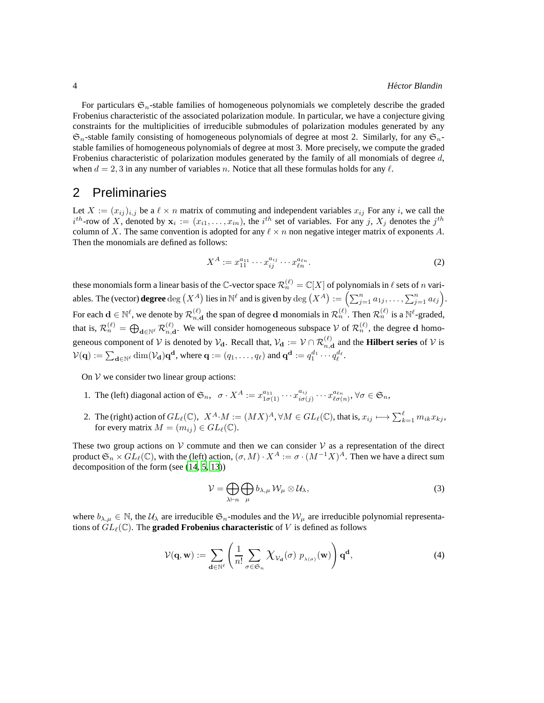For particulars  $\mathfrak{S}_n$ -stable families of homogeneous polynomials we completely describe the graded Frobenius characteristic of the associated polarization module. In particular, we have a conjecture giving constraints for the multiplicities of irreducible submodules of polarization modules generated by any  $\mathfrak{S}_n$ -stable family consisting of homogeneous polynomials of degree at most 2. Similarly, for any  $\mathfrak{S}_n$ stable families of homogeneous polynomials of degree at most 3. More precisely, we compute the graded Frobenius characteristic of polarization modules generated by the family of all monomials of degree  $d$ , when  $d = 2, 3$  in any number of variables n. Notice that all these formulas holds for any  $\ell$ .

#### 2 Preliminaries

Let  $X := (x_{ij})_{i,j}$  be a  $\ell \times n$  matrix of commuting and independent variables  $x_{ij}$  For any i, we call the  $i^{th}$ -row of X, denoted by  $x_i := (x_{i1}, \ldots, x_{in})$ , the  $i^{th}$  set of variables. For any j,  $X_j$  denotes the  $j^{th}$ column of X. The same convention is adopted for any  $\ell \times n$  non negative integer matrix of exponents A. Then the monomials are defined as follows:

$$
X^{A} := x_{11}^{a_{11}} \cdots x_{ij}^{a_{ij}} \cdots x_{\ell n}^{a_{\ell n}}.
$$
\n(2)

these monomials form a linear basis of the C-vector space  $\mathcal{R}_n^{(\ell)}=\mathbb{C}[X]$  of polynomials in  $\ell$  sets of  $n$  variables. The (vector)  $\operatorname{degree} \deg\big(X^A\big)$  lies in  $\mathbb{N}^\ell$  and is given by  $\deg\big(X^A\big):=\Big(\sum_{j=1}^n a_{1j},\ldots,\sum_{j=1}^n a_{\ell j}\Big).$ For each  $\mathbf{d} \in \mathbb{N}^{\ell}$ , we denote by  $\mathcal{R}_{n,\mathbf{d}}^{(\ell)}$  the span of degree  $\mathbf{d}$  monomials in  $\mathcal{R}_{n}^{(\ell)}$ . Then  $\mathcal{R}_{n}^{(\ell)}$  is a  $\mathbb{N}^{\ell}$ -graded, that is,  $\mathcal{R}_n^{(\ell)} = \bigoplus_{\mathbf{d} \in \mathbb{N}^{\ell}} \mathcal{R}_{n,\mathbf{d}}^{(\ell)}$ . We will consider homogeneous subspace V of  $\mathcal{R}_n^{(\ell)}$ , the degree d homogeneous component of  $V$  is denoted by  $V_d$ . Recall that,  $V_d := V \cap \mathcal{R}_{n,d}^{(\ell)}$  and the **Hilbert series** of  $V$  is  $\mathcal{V}(\mathbf{q}) := \sum_{\mathbf{d} \in \mathbb{N}^{\ell}} \dim(\mathcal{V}_{\mathbf{d}}) \mathbf{q}^{\mathbf{d}},$  where  $\mathbf{q} := (q_1, \dots, q_{\ell})$  and  $\mathbf{q}^{\mathbf{d}} := q_1^{d_1} \cdots q_{\ell}^{d_{\ell}}.$ 

On  $V$  we consider two linear group actions:

- 1. The (left) diagonal action of  $\mathfrak{S}_n$ ,  $\sigma \cdot X^A := x_{1\sigma(1)}^{a_{11}} \cdots x_{i\sigma(n)}^{a_{ij}}$  $\overline{\dot{u}}_{i\sigma(j)}^{a_{ij}}\cdots\overline{\dot{x}}_{\ell\sigma(n)}^{a_{\ell n}}, \forall \sigma\in\mathfrak{S}_n,$
- 2. The (right) action of  $GL_{\ell}(\mathbb{C}), X^A \cdot M := (MX)^A, \forall M \in GL_{\ell}(\mathbb{C}),$  that is,  $x_{ij} \longmapsto \sum_{k=1}^{\ell} m_{ik}x_{kj}$ , for every matrix  $M = (m_{ij}) \in GL_{\ell}(\mathbb{C}).$

These two group actions on  $\mathcal V$  commute and then we can consider  $\mathcal V$  as a representation of the direct product  $\mathfrak{S}_n \times GL_\ell(\mathbb{C})$ , with the (left) action,  $(\sigma, M) \cdot X^A := \sigma \cdot (M^{-1}X)^A$ . Then we have a direct sum decomposition of the form (see [\(14](#page-11-9), [5](#page-11-10), [13](#page-11-2)))

<span id="page-3-0"></span>
$$
\mathcal{V} = \bigoplus_{\lambda \vdash n} \bigoplus_{\mu} b_{\lambda,\mu} \,\mathcal{W}_{\mu} \otimes \mathcal{U}_{\lambda},\tag{3}
$$

where  $b_{\lambda,\mu} \in \mathbb{N}$ , the  $\mathcal{U}_{\lambda}$  are irreducible  $\mathfrak{S}_n$ -modules and the  $\mathcal{W}_{\mu}$  are irreducible polynomial representations of  $GL_{\ell}(\mathbb{C})$ . The **graded Frobenius characteristic** of V is defined as follows

$$
\mathcal{V}(\mathbf{q}, \mathbf{w}) := \sum_{\mathbf{d} \in \mathbb{N}^{\ell}} \left( \frac{1}{n!} \sum_{\sigma \in \mathfrak{S}_n} \chi_{\mathcal{V}_{\mathbf{d}}}(\sigma) \ p_{\lambda(\sigma)}(\mathbf{w}) \right) \mathbf{q}^{\mathbf{d}},\tag{4}
$$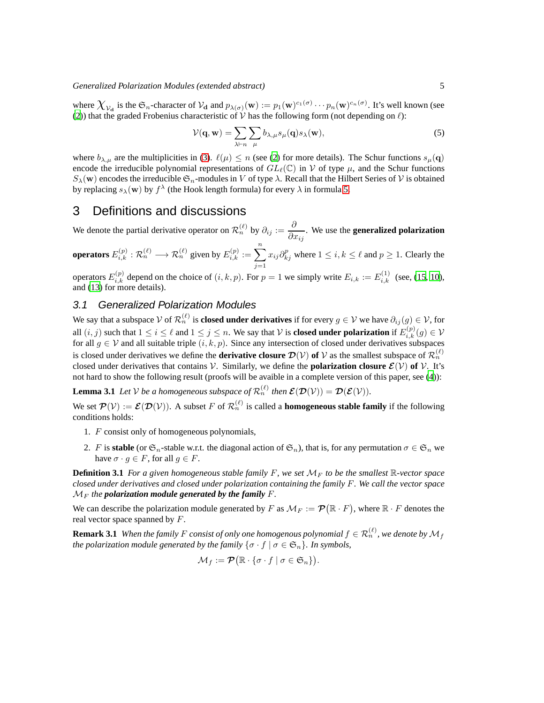where  $\chi_{v_d}$  is the  $\mathfrak{S}_n$ -character of  $v_d$  and  $p_{\lambda(\sigma)}(\mathbf{w}) := p_1(\mathbf{w})^{c_1(\sigma)} \cdots p_n(\mathbf{w})^{c_n(\sigma)}$ . It's well known (see [\(2](#page-11-3))) that the graded Frobenius characteristic of  $\hat{V}$  has the following form (not depending on  $\ell$ ):

<span id="page-4-0"></span>
$$
\mathcal{V}(\mathbf{q}, \mathbf{w}) = \sum_{\lambda \vdash n} \sum_{\mu} b_{\lambda, \mu} s_{\mu}(\mathbf{q}) s_{\lambda}(\mathbf{w}), \tag{5}
$$

where  $b_{\lambda,\mu}$  are the multiplicities in [\(3\)](#page-3-0).  $\ell(\mu) \leq n$  (see [\(2](#page-11-3)) for more details). The Schur functions  $s_{\mu}(\mathbf{q})$ encode the irreducible polynomial representations of  $GL_{\ell}(\mathbb{C})$  in V of type  $\mu$ , and the Schur functions  $S_{\lambda}(\mathbf{w})$  encodes the irreducible  $\mathfrak{S}_n$ -modules in V of type  $\lambda$ . Recall that the Hilbert Series of V is obtained by replacing  $s_\lambda({\bf w})$  by  $f^\lambda$  (the Hook length formula) for every  $\lambda$  in formula [5.](#page-4-0)

## 3 Definitions and discussions

We denote the partial derivative operator on  $\mathcal{R}_n^{(\ell)}$  by  $\partial_{ij} := \frac{\partial}{\partial x_i}$  $\frac{\partial}{\partial x_{ij}}$ . We use the **generalized polarization** 

**operators** 
$$
E_{i,k}^{(p)} : \mathcal{R}_n^{(\ell)} \longrightarrow \mathcal{R}_n^{(\ell)}
$$
 given by  $E_{i,k}^{(p)} := \sum_{j=1}^n x_{ij} \partial_{kj}^p$  where  $1 \le i, k \le \ell$  and  $p \ge 1$ . Clearly the

operators  $E_{i,k}^{(p)}$  depend on the choice of  $(i,k,p)$ . For  $p=1$  we simply write  $E_{i,k} := E_{i,k}^{(1)}$  (see, [\(15,](#page-11-11) [10\)](#page-11-12), and [\(13](#page-11-2)) for more details).

#### 3.1 Generalized Polarization Modules

We say that a subspace  $\mathcal V$  of  $\mathcal R_n^{(\ell)}$  is **closed under derivatives** if for every  $g \in \mathcal V$  we have  $\partial_{ij}(g) \in \mathcal V$ , for all  $(i, j)$  such that  $1 \le i \le \ell$  and  $1 \le j \le n$ . We say that  $\mathcal V$  is **closed under polarization** if  $E_{i,k}^{(p)}(g) \in \mathcal V$ for all  $g \in V$  and all suitable triple  $(i, k, p)$ . Since any intersection of closed under derivatives subspaces is closed under derivatives we define the **derivative closure**  $\mathcal{D}(\mathcal{V})$  **of**  $\mathcal{V}$  as the smallest subspace of  $\mathcal{R}_n^{(\ell)}$ closed under derivatives that contains  $V$ . Similarly, we define the **polarization closure**  $\mathcal{E}(V)$  of  $V$ . It's not hard to show the following result (proofs will be avaible in a complete version of this paper, see [\(4\)](#page-11-13)):

**Lemma 3.1** Let V be a homogeneous subspace of  $\mathcal{R}_n^{(\ell)}$  then  $\mathcal{E}(\mathcal{D}(\mathcal{V})) = \mathcal{D}(\mathcal{E}(\mathcal{V}))$ .

We set  $\mathcal{P}(\mathcal{V}) := \mathcal{E}(\mathcal{D}(\mathcal{V}))$ . A subset F of  $\mathcal{R}_n^{(\ell)}$  is called a **homogeneous stable family** if the following conditions holds:

- 1. F consist only of homogeneous polynomials,
- 2. F is **stable** (or  $\mathfrak{S}_n$ -stable w.r.t. the diagonal action of  $\mathfrak{S}_n$ ), that is, for any permutation  $\sigma \in \mathfrak{S}_n$  we have  $\sigma \cdot g \in F$ , for all  $g \in F$ .

**Definition 3.1** For a given homogeneous stable family F, we set  $\mathcal{M}_F$  to be the smallest  $\mathbb{R}$ -vector space *closed under derivatives and closed under polarization containing the family* F*. We call the vector space*  $M_F$  *the polarization module generated by the family F.* 

We can describe the polarization module generated by F as  $\mathcal{M}_F := \mathcal{P}(\mathbb{R} \cdot F)$ , where  $\mathbb{R} \cdot F$  denotes the real vector space spanned by  $F$ .

**Remark 3.1** When the family F consist of only one homogenous polynomial  $f \in \mathcal{R}_n^{(\ell)}$  , we denote by  $\mathcal{M}_f$ *the polarization module generated by the family*  $\{\sigma \cdot f \mid \sigma \in \mathfrak{S}_n\}$ *. In symbols,* 

$$
\mathcal{M}_f := \mathcal{P}(\mathbb{R} \cdot {\sigma \cdot f \mid \sigma \in \mathfrak{S}_n}).
$$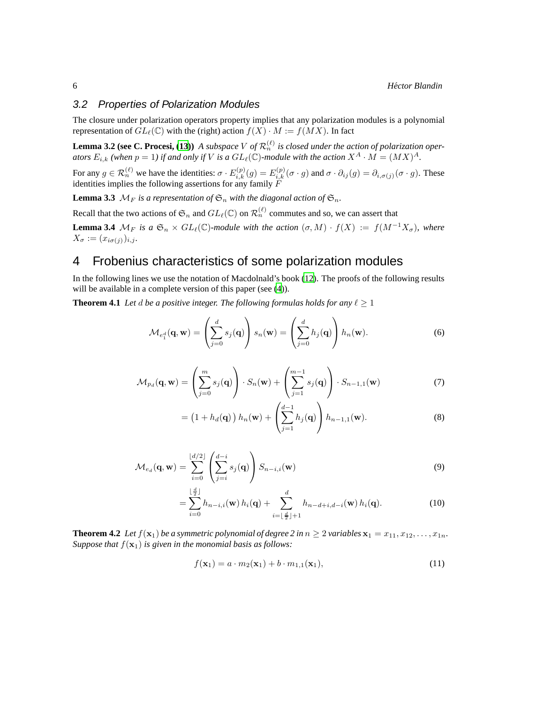#### 3.2 Properties of Polarization Modules

The closure under polarization operators property implies that any polarization modules is a polynomial representation of  $GL_{\ell}(\mathbb{C})$  with the (right) action  $f(X) \cdot M := f(MX)$ . In fact

**Lemma 3.2 (see C. Procesi, [\(13\)](#page-11-2))** *A subspace* V of  $\mathcal{R}_n^{(\ell)}$  is closed under the action of polarization oper*ators*  $E_{i,k}$  (when  $p = 1$ ) if and only if V is a  $GL_{\ell}(\mathbb{C})$ -module with the action  $X^A \cdot M = (MX)^A$ .

For any  $g \in \mathcal{R}_n^{(\ell)}$  we have the identities:  $\sigma \cdot E_{i,k}^{(p)}(g) = E_{i,k}^{(p)}(\sigma \cdot g)$  and  $\sigma \cdot \partial_{ij}(g) = \partial_{i,\sigma(j)}(\sigma \cdot g)$ . These identities implies the following assertions for any family  $\overline{F}$ 

**Lemma 3.3**  $\mathcal{M}_F$  *is a representation of*  $\mathfrak{S}_n$  *with the diagonal action of*  $\mathfrak{S}_n$ *.* 

Recall that the two actions of  $\mathfrak{S}_n$  and  $GL_{\ell}(\mathbb{C})$  on  $\mathcal{R}_n^{(\ell)}$  commutes and so, we can assert that **Lemma 3.4**  $\mathcal{M}_F$  *is a*  $\mathfrak{S}_n \times GL_\ell(\mathbb{C})$ *-module with the action*  $(\sigma, M) \cdot f(X) := f(M^{-1}X_{\sigma})$ *, where*  $X_{\sigma} := (x_{i\sigma(j)})_{i,j}.$ 

## 4 Frobenius characteristics of some polarization modules

In the following lines we use the notation of Macdolnald's book [\(12\)](#page-11-14). The proofs of the following results will be available in a complete version of this paper (see  $(4)$ ).

**Theorem 4.1** *Let d be a positive integer. The following formulas holds for any*  $\ell \geq 1$ 

$$
\mathcal{M}_{e_1^d}(\mathbf{q}, \mathbf{w}) = \left(\sum_{j=0}^d s_j(\mathbf{q})\right) s_n(\mathbf{w}) = \left(\sum_{j=0}^d h_j(\mathbf{q})\right) h_n(\mathbf{w}).
$$
\n(6)

$$
\mathcal{M}_{p_d}(\mathbf{q}, \mathbf{w}) = \left(\sum_{j=0}^m s_j(\mathbf{q})\right) \cdot S_n(\mathbf{w}) + \left(\sum_{j=1}^{m-1} s_j(\mathbf{q})\right) \cdot S_{n-1,1}(\mathbf{w}) \tag{7}
$$

$$
= \left(1 + h_d(\mathbf{q})\right)h_n(\mathbf{w}) + \left(\sum_{j=1}^{d-1} h_j(\mathbf{q})\right)h_{n-1,1}(\mathbf{w}).
$$
\n(8)

$$
\mathcal{M}_{e_d}(\mathbf{q}, \mathbf{w}) = \sum_{i=0}^{\lfloor d/2 \rfloor} \left( \sum_{j=i}^{d-i} s_j(\mathbf{q}) \right) S_{n-i,i}(\mathbf{w}) \tag{9}
$$

$$
= \sum_{i=0}^{\lfloor \frac{d}{2} \rfloor} h_{n-i,i}(\mathbf{w}) h_i(\mathbf{q}) + \sum_{i=\lfloor \frac{d}{2} \rfloor+1}^d h_{n-d+i,d-i}(\mathbf{w}) h_i(\mathbf{q}). \tag{10}
$$

**Theorem 4.2** Let  $f(\mathbf{x}_1)$  be a symmetric polynomial of degree 2 in  $n \geq 2$  variables  $\mathbf{x}_1 = x_{11}, x_{12}, \ldots, x_{1n}$ . *Suppose that*  $f(\mathbf{x}_1)$  *is given in the monomial basis as follows:* 

$$
f(\mathbf{x}_1) = a \cdot m_2(\mathbf{x}_1) + b \cdot m_{1,1}(\mathbf{x}_1), \tag{11}
$$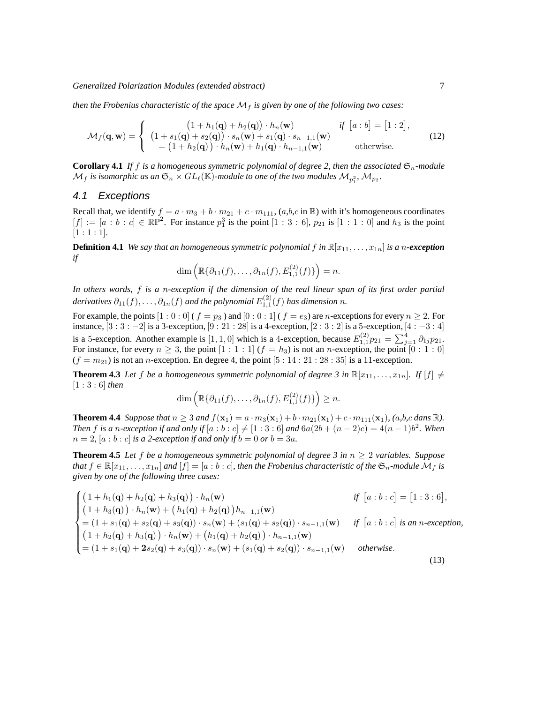*Generalized Polarization Modules (extended abstract)* 7

*then the Frobenius characteristic of the space*  $\mathcal{M}_f$  *is given by one of the following two cases:* 

$$
\mathcal{M}_f(\mathbf{q}, \mathbf{w}) = \begin{cases}\n(1 + h_1(\mathbf{q}) + h_2(\mathbf{q})) \cdot h_n(\mathbf{w}) & \text{if } [a : b] = [1 : 2], \\
(1 + s_1(\mathbf{q}) + s_2(\mathbf{q})) \cdot s_n(\mathbf{w}) + s_1(\mathbf{q}) \cdot s_{n-1,1}(\mathbf{w}) \\
= (1 + h_2(\mathbf{q})) \cdot h_n(\mathbf{w}) + h_1(\mathbf{q}) \cdot h_{n-1,1}(\mathbf{w}) & \text{otherwise.} \n\end{cases}
$$
\n(12)

<span id="page-6-0"></span>**Corollary 4.1** If f is a homogeneous symmetric polynomial of degree 2, then the associated  $\mathfrak{S}_n$ -module  $\mathcal{M}_f$  is isomorphic as an  $\mathfrak{S}_n \times GL_\ell(\mathbb{K})$ -module to one of the two modules  $\mathcal{M}_{p_1^2}, \mathcal{M}_{p_2}$ .

#### 4.1 Exceptions

Recall that, we identify  $f = a \cdot m_3 + b \cdot m_{21} + c \cdot m_{111}$ ,  $(a, b, c \text{ in } \mathbb{R})$  with it's homogeneous coordinates  $[f] := [a : b : c] \in \mathbb{RP}^2$ . For instance  $p_1^3$  is the point  $[1 : 3 : 6]$ ,  $p_{21}$  is  $[1 : 1 : 0]$  and  $h_3$  is the point  $[1:1:1]$ .

**Definition 4.1** *We say that an homogeneous symmetric polynomial*  $f$  *in*  $\mathbb{R}[x_{11},...,x_{1n}]$  *is a n-exception if*

$$
\dim\left(\mathbb{R}\{\partial_{11}(f),\ldots,\partial_{1n}(f),E_{1,1}^{(2)}(f)\}\right)=n.
$$

*In others words,* f *is a* n*-exception if the dimension of the real linear span of its first order partial*  $d$ erivatives  $\partial_{11}(f), \ldots, \partial_{1n}(f)$  and the polynomial  $E^{(2)}_{1,1}(f)$  has dimension  $n$ .

For example, the points  $[1 : 0 : 0]$  (  $f = p_3$  ) and  $[0 : 0 : 1]$  (  $f = e_3$ ) are n-exceptions for every  $n \ge 2$ . For instance,  $[3:3:-2]$  is a 3-exception,  $[9:21:28]$  is a 4-exception,  $[2:3:2]$  is a 5-exception,  $[4:-3:4]$ is a 5-exception. Another example is [1, 1, 0] which is a 4-exception, because  $E_{1,1}^{(2)}p_{21} = \sum_{j=1}^{4} \partial_{1j}p_{21}$ . For instance, for every  $n \geq 3$ , the point  $[1:1:1]$   $(f = h_3)$  is not an *n*-exception, the point  $[0:1:0]$  $(f = m_{21})$  is not an *n*-exception. En degree 4, the point [5 : 14 : 21 : 28 : 35] is a 11-exception.

**Theorem 4.3** Let f be a homogeneous symmetric polynomial of degree 3 in  $\mathbb{R}[x_{11},...,x_{1n}]$ . If  $[f] \neq$ [1 : 3 : 6] *then*

$$
\dim\left(\mathbb{R}\{\partial_{11}(f),\ldots,\partial_{1n}(f),E_{1,1}^{(2)}(f)\}\right)\geq n.
$$

**Theorem 4.4** Suppose that  $n \ge 3$  and  $f(\mathbf{x}_1) = a \cdot m_3(\mathbf{x}_1) + b \cdot m_{21}(\mathbf{x}_1) + c \cdot m_{111}(\mathbf{x}_1)$ , (a,b,c dans R). *Then f* is a *n*-exception if and only if  $[a : b : c] \neq [1 : 3 : 6]$  and  $6a(2b + (n-2)c) = 4(n-1)b^2$ . When  $n = 2$ ,  $[a:b:c]$  *is a 2-exception if and only if*  $b = 0$  *or*  $b = 3a$ *.* 

**Theorem 4.5** Let f be a homogeneous symmetric polynomial of degree 3 in  $n \geq 2$  variables. Suppose *that*  $f \in \mathbb{R}[x_{11},...,x_{1n}]$  *and*  $[f] = [a:b:c]$ *, then the Frobenius characteristic of the*  $\mathfrak{S}_n$ *-module*  $\mathcal{M}_f$  *is given by one of the following three cases:*

$$
\begin{cases}\n(1 + h_1(\mathbf{q}) + h_2(\mathbf{q}) + h_3(\mathbf{q})) \cdot h_n(\mathbf{w}) & \text{if } [a:b:c] = [1:3:6], \\
(1 + h_3(\mathbf{q})) \cdot h_n(\mathbf{w}) + (h_1(\mathbf{q}) + h_2(\mathbf{q}))h_{n-1,1}(\mathbf{w}) \\
= (1 + s_1(\mathbf{q}) + s_2(\mathbf{q}) + s_3(\mathbf{q})) \cdot s_n(\mathbf{w}) + (s_1(\mathbf{q}) + s_2(\mathbf{q})) \cdot s_{n-1,1}(\mathbf{w}) & \text{if } [a:b:c] \text{ is an } n\text{-exception,} \\
(1 + h_2(\mathbf{q}) + h_3(\mathbf{q})) \cdot h_n(\mathbf{w}) + (h_1(\mathbf{q}) + h_2(\mathbf{q})) \cdot h_{n-1,1}(\mathbf{w}) \\
= (1 + s_1(\mathbf{q}) + 2s_2(\mathbf{q}) + s_3(\mathbf{q})) \cdot s_n(\mathbf{w}) + (s_1(\mathbf{q}) + s_2(\mathbf{q})) \cdot s_{n-1,1}(\mathbf{w}) & \text{otherwise.} \n\end{cases} \tag{13}
$$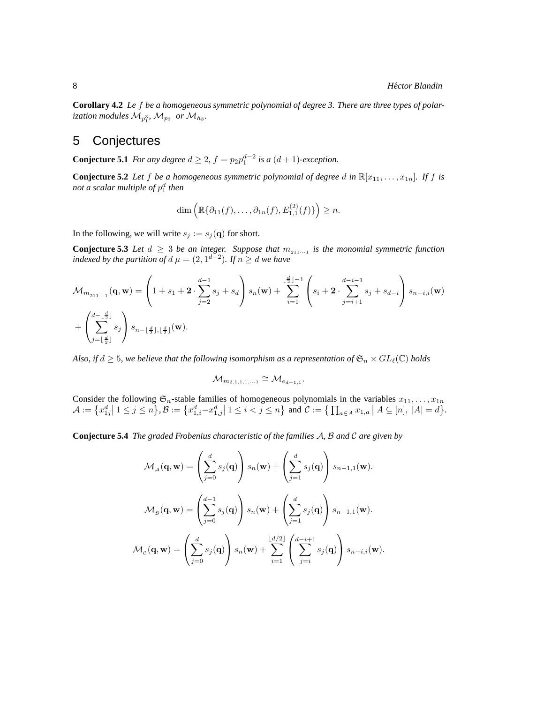<span id="page-7-0"></span>**Corollary 4.2** *Le* f *be a homogeneous symmetric polynomial of degree 3. There are three types of polar*ization modules  $\mathcal{M}_{p_1^3}, \, \mathcal{M}_{p_3}$  or  $\mathcal{M}_{h_3}.$ 

## 5 Conjectures

**Conjecture 5.1** *For any degree*  $d \geq 2$ ,  $f = p_2 p_1^{d-2}$  *is a*  $(d+1)$ *-exception.* 

**Conjecture 5.2** Let f be a homogeneous symmetric polynomial of degree d in  $\mathbb{R}[x_{11},...,x_{1n}]$ . If f is *not a scalar multiple of* p d 1 *then*

$$
\dim\left(\mathbb{R}\{\partial_{11}(f),\ldots,\partial_{1n}(f),E_{1,1}^{(2)}(f)\}\right)\geq n.
$$

In the following, we will write  $s_j := s_j(q)$  for short.

**Conjecture 5.3** Let  $d \geq 3$  be an integer. Suppose that  $m_{211...1}$  is the monomial symmetric function *indexed by the partition of d*  $\mu = (2, 1^{d-2})$ *. If*  $n \ge d$  *we have* 

$$
\mathcal{M}_{m_{211\cdots 1}}(\mathbf{q}, \mathbf{w}) = \left(1 + s_1 + 2 \cdot \sum_{j=2}^{d-1} s_j + s_d\right) s_n(\mathbf{w}) + \sum_{i=1}^{\lfloor \frac{d}{2} \rfloor - 1} \left(s_i + 2 \cdot \sum_{j=i+1}^{d-i-1} s_j + s_{d-i}\right) s_{n-i,i}(\mathbf{w}) + \left(\sum_{j=\lfloor \frac{d}{2} \rfloor}^{d-1} s_j\right) s_{n-\lfloor \frac{d}{2} \rfloor,\lfloor \frac{d}{2} \rfloor}(\mathbf{w}).
$$

*Also, if*  $d \geq 5$ *, we believe that the following isomorphism as a representation of*  $\mathfrak{S}_n \times GL_\ell(\mathbb{C})$  *holds* 

$$
\mathcal{M}_{m_{2,1,1,1,\dots}} \cong \mathcal{M}_{e_{d-1,1}}.
$$

Consider the following  $\mathfrak{S}_n$ -stable families of homogeneous polynomials in the variables  $x_{11}, \ldots, x_{1n}$  $\mathcal{A} := \{x_{1j}^d | 1 \leq j \leq n\}, \mathcal{B} := \{x_{1,i}^d - x_{1,j}^d | 1 \leq i < j \leq n\}$  and  $\mathcal{C} := \{\prod_{a \in A} x_{1,a} | A \subseteq [n], |A| = d\}.$ 

**Conjecture 5.4** *The graded Frobenius characteristic of the families* A*,* B *and* C *are given by*

$$
\mathcal{M}_{\scriptscriptstyle \mathcal{A}}(\mathbf{q},\mathbf{w}) = \left(\sum_{j=0}^d s_j(\mathbf{q})\right) s_n(\mathbf{w}) + \left(\sum_{j=1}^d s_j(\mathbf{q})\right) s_{n-1,1}(\mathbf{w}).
$$
  

$$
\mathcal{M}_{\scriptscriptstyle \mathcal{B}}(\mathbf{q},\mathbf{w}) = \left(\sum_{j=0}^{d-1} s_j(\mathbf{q})\right) s_n(\mathbf{w}) + \left(\sum_{j=1}^d s_j(\mathbf{q})\right) s_{n-1,1}(\mathbf{w}).
$$
  

$$
\mathcal{M}_{\scriptscriptstyle \mathcal{C}}(\mathbf{q},\mathbf{w}) = \left(\sum_{j=0}^d s_j(\mathbf{q})\right) s_n(\mathbf{w}) + \sum_{i=1}^{\lfloor d/2 \rfloor} \left(\sum_{j=i}^{d-i+1} s_j(\mathbf{q})\right) s_{n-i,i}(\mathbf{w}).
$$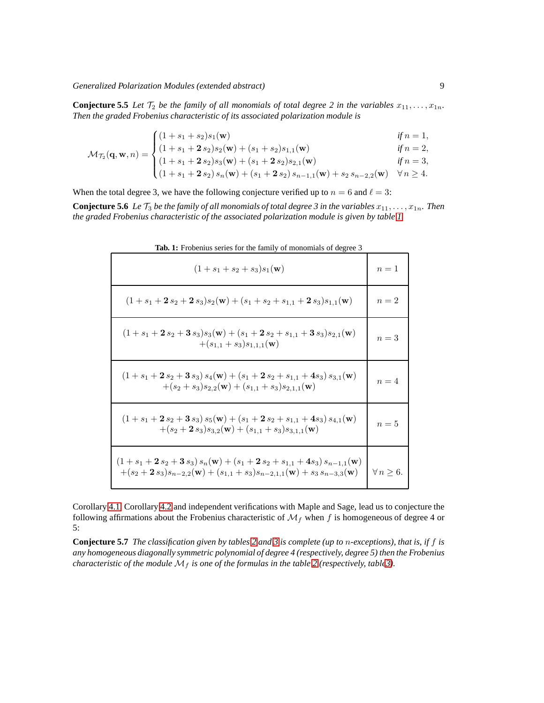**Conjecture 5.5** *Let*  $\mathcal{T}_2$  *be the family of all monomials of total degree 2 in the variables*  $x_{11}, \ldots, x_{1n}$ . *Then the graded Frobenius characteristic of its associated polarization module is*

$$
\mathcal{M}_{\mathcal{T}_2}(\mathbf{q}, \mathbf{w}, n) = \begin{cases}\n(1 + s_1 + s_2)s_1(\mathbf{w}) & \text{if } n = 1, \\
(1 + s_1 + 2 s_2)s_2(\mathbf{w}) + (s_1 + s_2)s_{1,1}(\mathbf{w}) & \text{if } n = 2, \\
(1 + s_1 + 2 s_2)s_3(\mathbf{w}) + (s_1 + 2 s_2)s_{2,1}(\mathbf{w}) & \text{if } n = 3, \\
(1 + s_1 + 2 s_2) s_n(\mathbf{w}) + (s_1 + 2 s_2) s_{n-1,1}(\mathbf{w}) + s_2 s_{n-2,2}(\mathbf{w}) & \forall n \ge 4.\n\end{cases}
$$

When the total degree 3, we have the following conjecture verified up to  $n = 6$  and  $\ell = 3$ :

**Conjecture 5.6** *Le*  $\mathcal{T}_3$  *be the family of all monomials of total degree 3 in the variables*  $x_{11}, \ldots, x_{1n}$ . Then *the graded Frobenius characteristic of the associated polarization module is given by table [1](#page-8-0)*

| $\sim$ 101 and 10<br>or monommup or a                                                                                                                                                                   |                     |
|---------------------------------------------------------------------------------------------------------------------------------------------------------------------------------------------------------|---------------------|
| $(1 + s_1 + s_2 + s_3)s_1(\mathbf{w})$                                                                                                                                                                  | $n=1$               |
| $(1 + s_1 + 2 s_2 + 2 s_3) s_2(\mathbf{w}) + (s_1 + s_2 + s_{1,1} + 2 s_3) s_{1,1}(\mathbf{w})$                                                                                                         | $n=2$               |
| $(1 + s_1 + 2 s_2 + 3 s_3) s_3(\mathbf{w}) + (s_1 + 2 s_2 + s_{1,1} + 3 s_3) s_{2,1}(\mathbf{w})$<br>$+(s_{1,1}+s_3)s_{1,1,1}(\mathbf{w})$                                                              | $n=3$               |
| $(1 + s_1 + 2 s_2 + 3 s_3) s_4(\mathbf{w}) + (s_1 + 2 s_2 + s_{1,1} + 4 s_3) s_{3,1}(\mathbf{w})$<br>$+(s_2 + s_3)s_{2,2}(\mathbf{w}) + (s_{1,1} + s_3)s_{2,1,1}(\mathbf{w})$                           | $n=4$               |
| $(1 + s_1 + 2 s_2 + 3 s_3) s_5(\mathbf{w}) + (s_1 + 2 s_2 + s_{1,1} + 4 s_3) s_{4,1}(\mathbf{w})$<br>$+(s_2+2s_3)s_{3,2}(\mathbf{w})+(s_{1,1}+s_3)s_{3,1,1}(\mathbf{w})$                                | $n=5$               |
| $(1 + s_1 + 2 s_2 + 3 s_3) s_n(\mathbf{w}) + (s_1 + 2 s_2 + s_{1,1} + 4 s_3) s_{n-1,1}(\mathbf{w})$<br>$+(s_2+2s_3)s_{n-2,2}(\mathbf{w})+(s_{1,1}+s_3)s_{n-2,1,1}(\mathbf{w})+s_3s_{n-3,3}(\mathbf{w})$ | $\forall n \geq 6.$ |

<span id="page-8-0"></span>**Tab. 1:** Frobenius series for the family of monomials of degree 3

Corollary [4.1,](#page-6-0) Corollary [4.2](#page-7-0) and independent verifications with Maple and Sage, lead us to conjecture the following affirmations about the Frobenius characteristic of  $\mathcal{M}_f$  when f is homogeneous of degree 4 or 5:

**Conjecture 5.7** *The classification given by tables [2](#page-9-1) and [3](#page-10-0) is complete (up to* n*-exceptions), that is, if* f *is any homogeneous diagonally symmetric polynomial of degree 4 (respectively, degree 5) then the Frobenius characteristic of the module*  $M_f$  *is one of the formulas in the table* [2](#page-9-1) (*respectively, table3*).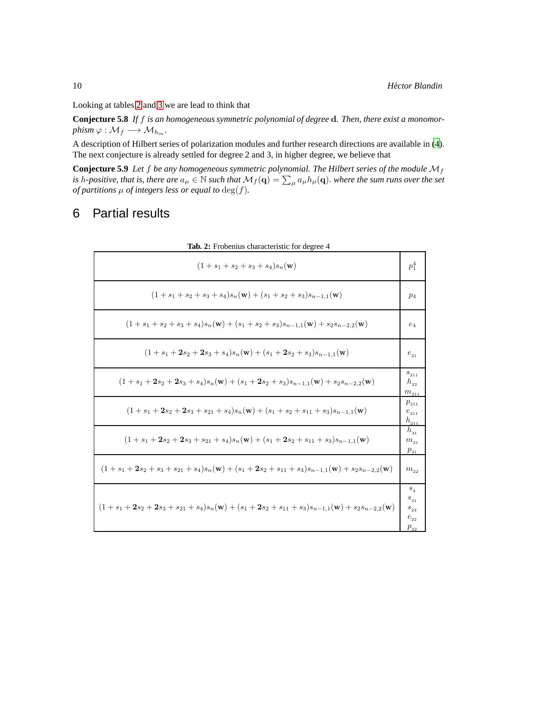Looking at tables [2](#page-9-1) and [3](#page-10-0) we are lead to think that

**Conjecture 5.8** *If* f *is an homogeneous symmetric polynomial of degree* d*. Then, there exist a monomor-* $\text{phism } \varphi : \mathcal{M}_f \longrightarrow \mathcal{M}_{h_m}.$ 

A description of Hilbert series of polarization modules and further research directions are available in [\(4\)](#page-11-13). The next conjecture is already settled for degree 2 and 3, in higher degree, we believe that

**Conjecture 5.9** Let  $f$  be any homogeneous symmetric polynomial. The Hilbert series of the module  $M_f$ is h-positive, that is, there are  $a_\mu\in\mathbb{N}$  such that  $\mathcal{M}_f(\mathbf{q})=\sum_\mu a_\mu h_\mu(\mathbf{q}).$  where the sum runs over the set *of partitions*  $\mu$  *of integers less or equal to*  $\deg(f)$ *.* 

# 6 Partial results

| <b>140.</b> $\mu$ . Trobellius characteristic for degree $\pm$                                                                        |                                                         |
|---------------------------------------------------------------------------------------------------------------------------------------|---------------------------------------------------------|
| $(1 + s_1 + s_2 + s_3 + s_4)s_n(\mathbf{w})$                                                                                          | $p_1^4$                                                 |
| $(1 + s_1 + s_2 + s_3 + s_4)s_n(\mathbf{w}) + (s_1 + s_2 + s_3)s_{n-1,1}(\mathbf{w})$                                                 | $p_4$                                                   |
| $(1 + s_1 + s_2 + s_3 + s_4)s_n(\mathbf{w}) + (s_1 + s_2 + s_3)s_{n-1,1}(\mathbf{w}) + s_2s_{n-2,2}(\mathbf{w})$                      | $e_4$                                                   |
| $(1 + s_1 + 2s_2 + 2s_3 + s_4)s_n(\mathbf{w}) + (s_1 + 2s_2 + s_3)s_{n-1,1}(\mathbf{w})$                                              | $e_{31}$                                                |
| $(1 + s_1 + 2s_2 + 2s_3 + s_4)s_n(w) + (s_1 + 2s_2 + s_3)s_{n-1,1}(w) + s_2s_{n-2,2}(w)$                                              | $s_{211}$<br>$h_{22}$<br>$m_{\mbox{\tiny{211}}}$        |
| $(1 + s_1 + 2s_2 + 2s_3 + s_{21} + s_4)s_n(\mathbf{w}) + (s_1 + s_2 + s_{11} + s_3)s_{n-1,1}(\mathbf{w})$                             | $p_{211}$<br>$e_{\scriptscriptstyle 211}$<br>$h_{211}$  |
| $(1 + s_1 + 2s_2 + 2s_3 + s_{21} + s_4)s_n(\mathbf{w}) + (s_1 + 2s_2 + s_{11} + s_3)s_{n-1,1}(\mathbf{w})$                            | $h_{31}$<br>$m_{31}$<br>$p_{31}$                        |
| $(1 + s_1 + 2s_2 + s_3 + s_{21} + s_4)s_n(\mathbf{w}) + (s_1 + 2s_2 + s_{11} + s_3)s_{n-1,1}(\mathbf{w}) + s_2s_{n-2,2}(\mathbf{w})$  | $m_{22}$                                                |
| $(1 + s_1 + 2s_2 + 2s_3 + s_{21} + s_4)s_n(\mathbf{w}) + (s_1 + 2s_2 + s_{11} + s_3)s_{n-1,1}(\mathbf{w}) + s_2s_{n-2,2}(\mathbf{w})$ | $S_{A}$<br>$s_{31}$<br>$s_{22}$<br>$e_{22}$<br>$p_{22}$ |

<span id="page-9-1"></span><span id="page-9-0"></span>**Tab. 2:** Frobenius characteristic for degree 4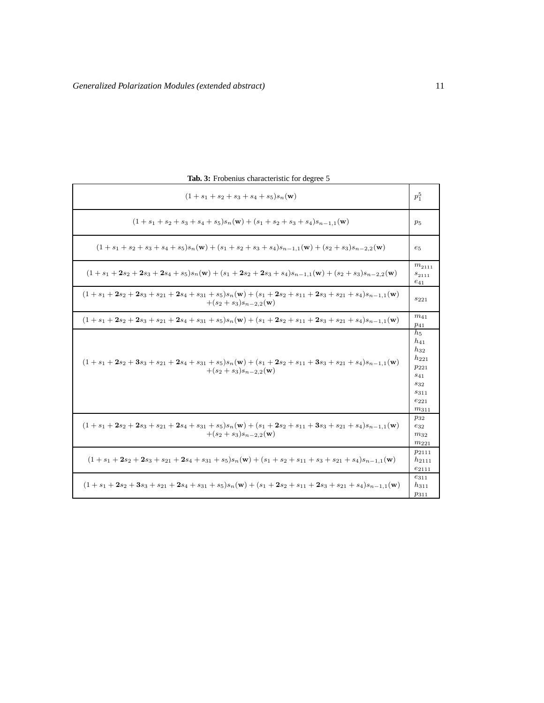| $(1 + s_1 + s_2 + s_3 + s_4 + s_5)s_n(\mathbf{w})$                                                                                                              | $p_1^5$                                                                                                                |
|-----------------------------------------------------------------------------------------------------------------------------------------------------------------|------------------------------------------------------------------------------------------------------------------------|
| $(1 + s_1 + s_2 + s_3 + s_4 + s_5)s_n(\mathbf{w}) + (s_1 + s_2 + s_3 + s_4)s_{n-1,1}(\mathbf{w})$                                                               | $p_5$                                                                                                                  |
| $(1 + s_1 + s_2 + s_3 + s_4 + s_5)s_n(\mathbf{w}) + (s_1 + s_2 + s_3 + s_4)s_{n-1,1}(\mathbf{w}) + (s_2 + s_3)s_{n-2,2}(\mathbf{w})$                            | $e_5$                                                                                                                  |
| $(1 + s_1 + 2s_2 + 2s_3 + 2s_4 + s_5)s_n(w) + (s_1 + 2s_2 + 2s_3 + s_4)s_{n-1,1}(w) + (s_2 + s_3)s_{n-2,2}(w)$                                                  | $m_{2111}$<br>$s_{2111}$<br>$e_{41}$                                                                                   |
| $(1 + s_1 + 2s_2 + 2s_3 + s_{21} + 2s_4 + s_{31} + s_5)s_n(w) + (s_1 + 2s_2 + s_{11} + 2s_3 + s_{21} + s_4)s_{n-1,1}(w)$<br>$+(s_2+s_3)s_{n-2,2}(\mathbf{w})$   | $s_{221}$                                                                                                              |
| $(1 + s_1 + 2s_2 + 2s_3 + s_{21} + 2s_4 + s_{31} + s_5)s_n(w) + (s_1 + 2s_2 + s_{11} + 2s_3 + s_{21} + s_4)s_{n-1,1}(w)$                                        | $m_{41}$<br>$p_{41}$                                                                                                   |
| $(1 + s_1 + 2s_2 + 3s_3 + s_{21} + 2s_4 + s_{31} + s_5)s_n(w) + (s_1 + 2s_2 + s_{11} + 3s_3 + s_{21} + s_4)s_{n-1,1}(w)$<br>$+(s_2 + s_3)s_{n-2,2}(\mathbf{w})$ | $h_5$<br>$h_{41}$<br>$h_{32}$<br>$h_{221}$<br>$p_{221}$<br>$s_{41}$<br>$s_{32}$<br>$s_{311}$<br>$e_{221}$<br>$m_{311}$ |
| $(1 + s_1 + 2s_2 + 2s_3 + s_{21} + 2s_4 + s_{31} + s_5)s_n(w) + (s_1 + 2s_2 + s_{11} + 3s_3 + s_{21} + s_4)s_{n-1,1}(w)$<br>$+(s_2+s_3)s_{n-2,2}(\mathbf{w})$   | $p_{32}$<br>$e_{32}$<br>$m_{32}$<br>$m_{221}$                                                                          |
| $(1 + s_1 + 2s_2 + 2s_3 + s_{21} + 2s_4 + s_{31} + s_5)s_n(w) + (s_1 + s_2 + s_{11} + s_3 + s_{21} + s_4)s_{n-1,1}(w)$                                          | $p_{2111}$<br>$h_{2111}$<br>$e_{2111}$                                                                                 |
| $(1 + s_1 + 2s_2 + 3s_3 + s_{21} + 2s_4 + s_{31} + s_5)s_n(w) + (s_1 + 2s_2 + s_{11} + 2s_3 + s_{21} + s_4)s_{n-1,1}(w)$                                        | $e_{311}$<br>$h_{311}$<br>$p_{311}$                                                                                    |

<span id="page-10-0"></span>**Tab. 3:** Frobenius characteristic for degree 5